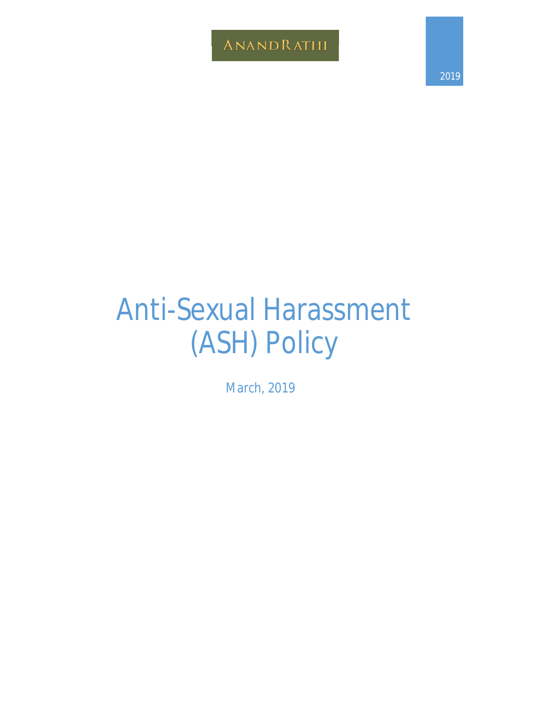ANANDRATHI

2019

# Anti-Sexual Harassment (ASH) Policy

March, 2019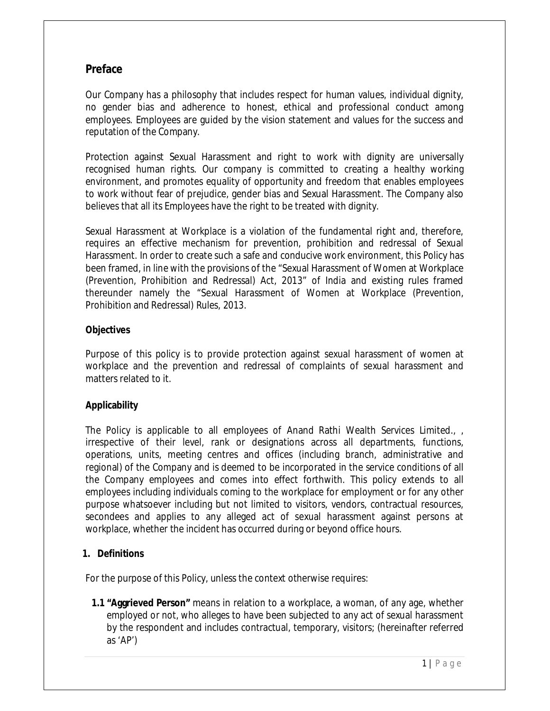# **Preface**

Our Company has a philosophy that includes respect for human values, individual dignity, no gender bias and adherence to honest, ethical and professional conduct among employees. Employees are guided by the vision statement and values for the success and reputation of the Company.

Protection against Sexual Harassment and right to work with dignity are universally recognised human rights. Our company is committed to creating a healthy working environment, and promotes equality of opportunity and freedom that enables employees to work without fear of prejudice, gender bias and Sexual Harassment. The Company also believes that all its Employees have the right to be treated with dignity.

Sexual Harassment at Workplace is a violation of the fundamental right and, therefore, requires an effective mechanism for prevention, prohibition and redressal of Sexual Harassment. In order to create such a safe and conducive work environment, this Policy has been framed, in line with the provisions of the "Sexual Harassment of Women at Workplace (Prevention, Prohibition and Redressal) Act, 2013" of India and existing rules framed thereunder namely the "Sexual Harassment of Women at Workplace (Prevention, Prohibition and Redressal) Rules, 2013.

# **Objectives**

Purpose of this policy is to provide protection against sexual harassment of women at workplace and the prevention and redressal of complaints of sexual harassment and matters related to it.

# **Applicability**

The Policy is applicable to all employees of Anand Rathi Wealth Services Limited., , irrespective of their level, rank or designations across all departments, functions, operations, units, meeting centres and offices (including branch, administrative and regional) of the Company and is deemed to be incorporated in the service conditions of all the Company employees and comes into effect forthwith. This policy extends to all employees including individuals coming to the workplace for employment or for any other purpose whatsoever including but not limited to visitors, vendors, contractual resources, secondees and applies to any alleged act of sexual harassment against persons at workplace, whether the incident has occurred during or beyond office hours.

# **1. Definitions**

For the purpose of this Policy, unless the context otherwise requires:

**1.1 "Aggrieved Person"** means in relation to a workplace, a woman, of any age, whether employed or not, who alleges to have been subjected to any act of sexual harassment by the respondent and includes contractual, temporary, visitors; (hereinafter referred as 'AP')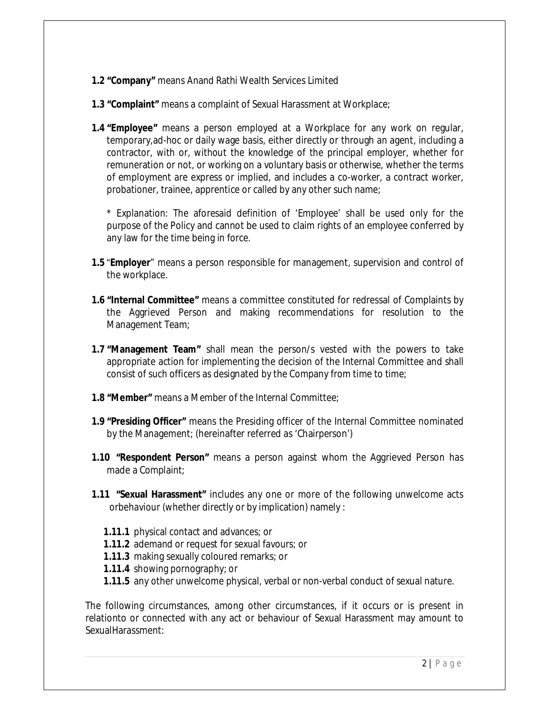- **1.2 "Company"** means Anand Rathi Wealth Services Limited
- **1.3 "Complaint"** means a complaint of Sexual Harassment at Workplace;
- **1.4 "Employee"** means a person employed at a Workplace for any work on regular, temporary,ad-hoc or daily wage basis, either directly or through an agent, including a contractor, with or, without the knowledge of the principal employer, whether for remuneration or not, or working on a voluntary basis or otherwise, whether the terms of employment are express or implied, and includes a co-worker, a contract worker, probationer, trainee, apprentice or called by any other such name;

\* Explanation: The aforesaid definition of 'Employee' shall be used only for the purpose of the Policy and cannot be used to claim rights of an employee conferred by any law for the time being in force.

- **1.5** "**Employer**" means a person responsible for management, supervision and control of the workplace.
- **1.6 "Internal Committee"** means a committee constituted for redressal of Complaints by the Aggrieved Person and making recommendations for resolution to the Management Team;
- **1.7 "Management Team"** shall mean the person/s vested with the powers to take appropriate action for implementing the decision of the Internal Committee and shall consist of such officers as designated by the Company from time to time;
- **1.8 "Member"** means a Member of the Internal Committee;
- **1.9 "Presiding Officer"** means the Presiding officer of the Internal Committee nominated by the Management; (hereinafter referred as 'Chairperson')
- **1.10 "Respondent Person"** means a person against whom the Aggrieved Person has made a Complaint;
- **1.11 "Sexual Harassment"** includes any one or more of the following unwelcome acts orbehaviour (whether directly or by implication) namely :
	- **1.11.1** physical contact and advances; or
	- **1.11.2** ademand or request for sexual favours; or
	- **1.11.3** making sexually coloured remarks; or
	- **1.11.4** showing pornography; or
	- **1.11.5** any other unwelcome physical, verbal or non-verbal conduct of sexual nature.

The following circumstances, among other circumstances, if it occurs or is present in relationto or connected with any act or behaviour of Sexual Harassment may amount to SexualHarassment: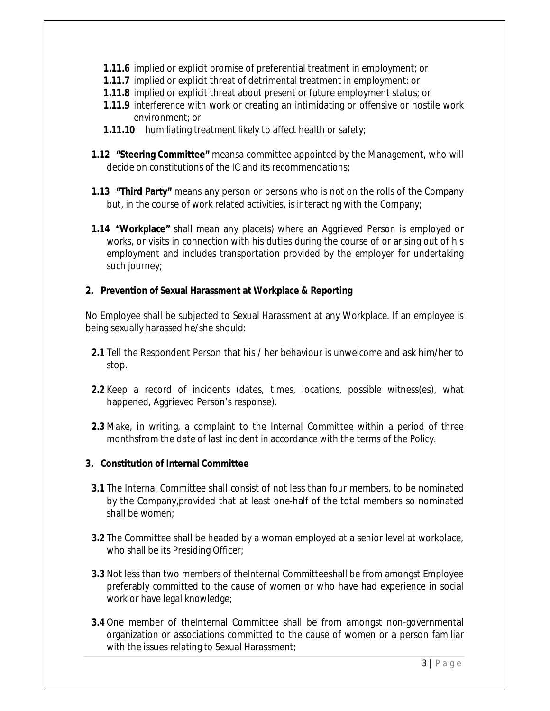- **1.11.6** implied or explicit promise of preferential treatment in employment; or
- **1.11.7** implied or explicit threat of detrimental treatment in employment: or
- **1.11.8** implied or explicit threat about present or future employment status; or
- **1.11.9** interference with work or creating an intimidating or offensive or hostile work environment; or
- **1.11.10** humiliating treatment likely to affect health or safety;
- **1.12 "Steering Committee"** meansa committee appointed by the Management, who will decide on constitutions of the IC and its recommendations;
- **1.13 "Third Party"** means any person or persons who is not on the rolls of the Company but, in the course of work related activities, is interacting with the Company;
- **1.14 "Workplace"** shall mean any place(s) where an Aggrieved Person is employed or works, or visits in connection with his duties during the course of or arising out of his employment and includes transportation provided by the employer for undertaking such journey;

# **2. Prevention of Sexual Harassment at Workplace & Reporting**

No Employee shall be subjected to Sexual Harassment at any Workplace. If an employee is being sexually harassed he/she should:

- **2.1** Tell the Respondent Person that his / her behaviour is unwelcome and ask him/her to stop.
- **2.2** Keep a record of incidents (dates, times, locations, possible witness(es), what happened, Aggrieved Person's response).
- **2.3** Make, in writing, a complaint to the Internal Committee within a period of three monthsfrom the date of last incident in accordance with the terms of the Policy.

# **3. Constitution of Internal Committee**

- **3.1** The Internal Committee shall consist of not less than four members, to be nominated by the Company,provided that at least one-half of the total members so nominated shall be women;
- **3.2** The Committee shall be headed by a woman employed at a senior level at workplace, who shall be its Presiding Officer;
- **3.3** Not less than two members of theInternal Committeeshall be from amongst Employee preferably committed to the cause of women or who have had experience in social work or have legal knowledge;
- **3.4** One member of theInternal Committee shall be from amongst non-governmental organization or associations committed to the cause of women or a person familiar with the issues relating to Sexual Harassment;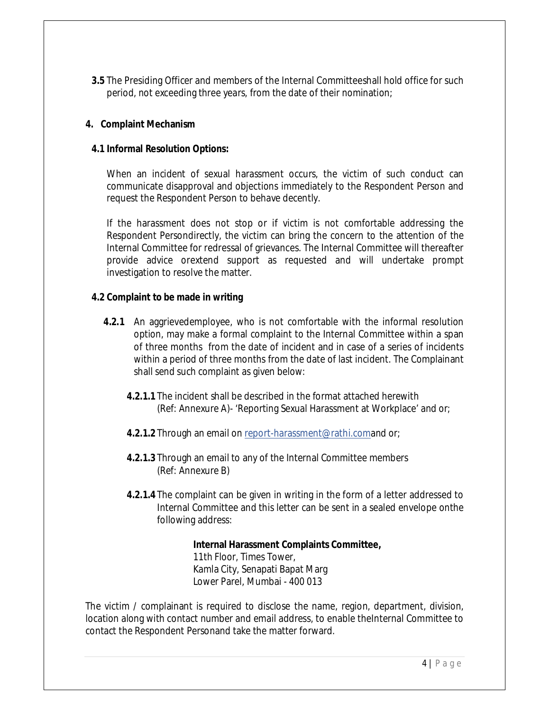**3.5** The Presiding Officer and members of the Internal Committeeshall hold office for such period, not exceeding three years, from the date of their nomination;

# **4. Complaint Mechanism**

#### **4.1 Informal Resolution Options:**

When an incident of sexual harassment occurs, the victim of such conduct can communicate disapproval and objections immediately to the Respondent Person and request the Respondent Person to behave decently.

If the harassment does not stop or if victim is not comfortable addressing the Respondent Persondirectly, the victim can bring the concern to the attention of the Internal Committee for redressal of grievances. The Internal Committee will thereafter provide advice orextend support as requested and will undertake prompt investigation to resolve the matter.

## **4.2 Complaint to be made in writing**

- **4.2.1** An aggrievedemployee, who is not comfortable with the informal resolution option, may make a formal complaint to the Internal Committee within a span of three months from the date of incident and in case of a series of incidents within a period of three months from the date of last incident. The Complainant shall send such complaint as given below:
	- **4.2.1.1** The incident shall be described in the format attached herewith (Ref: Annexure A)- 'Reporting Sexual Harassment at Workplace' and or;
	- **4.2.1.2** Through an email on report-harassment@rathi.comand or;
	- **4.2.1.3** Through an email to any of the Internal Committee members (Ref: Annexure B)
	- **4.2.1.4** The complaint can be given in writing in the form of a letter addressed to Internal Committee and this letter can be sent in a sealed envelope onthe following address:

# **Internal Harassment Complaints Committee,**

11th Floor, Times Tower, Kamla City, Senapati Bapat Marg Lower Parel, Mumbai - 400 013

The victim / complainant is required to disclose the name, region, department, division, location along with contact number and email address, to enable theInternal Committee to contact the Respondent Personand take the matter forward.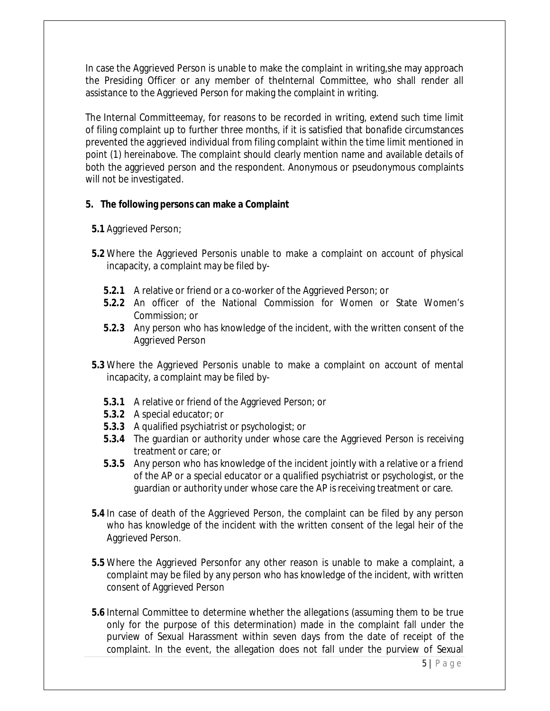In case the Aggrieved Person is unable to make the complaint in writing,she may approach the Presiding Officer or any member of theInternal Committee, who shall render all assistance to the Aggrieved Person for making the complaint in writing.

The Internal Committeemay, for reasons to be recorded in writing, extend such time limit of filing complaint up to further three months, if it is satisfied that bonafide circumstances prevented the aggrieved individual from filing complaint within the time limit mentioned in point (1) hereinabove. The complaint should clearly mention name and available details of both the aggrieved person and the respondent. Anonymous or pseudonymous complaints will not be investigated.

## **5. The following persons can make a Complaint**

- **5.1** Aggrieved Person;
- **5.2** Where the Aggrieved Personis unable to make a complaint on account of physical incapacity, a complaint may be filed by-
	- **5.2.1** A relative or friend or a co-worker of the Aggrieved Person; or
	- **5.2.2** An officer of the National Commission for Women or State Women's Commission; or
	- **5.2.3** Any person who has knowledge of the incident, with the written consent of the Aggrieved Person
- **5.3** Where the Aggrieved Personis unable to make a complaint on account of mental incapacity, a complaint may be filed by-
	- **5.3.1** A relative or friend of the Aggrieved Person; or
	- **5.3.2** A special educator; or
	- **5.3.3** A qualified psychiatrist or psychologist; or
	- **5.3.4** The guardian or authority under whose care the Aggrieved Person is receiving treatment or care; or
	- **5.3.5** Any person who has knowledge of the incident jointly with a relative or a friend of the AP or a special educator or a qualified psychiatrist or psychologist, or the guardian or authority under whose care the AP is receiving treatment or care.
- **5.4** In case of death of the Aggrieved Person, the complaint can be filed by any person who has knowledge of the incident with the written consent of the legal heir of the Aggrieved Person.
- **5.5** Where the Aggrieved Personfor any other reason is unable to make a complaint, a complaint may be filed by any person who has knowledge of the incident, with written consent of Aggrieved Person
- **5.6** Internal Committee to determine whether the allegations (assuming them to be true only for the purpose of this determination) made in the complaint fall under the purview of Sexual Harassment within seven days from the date of receipt of the complaint. In the event, the allegation does not fall under the purview of Sexual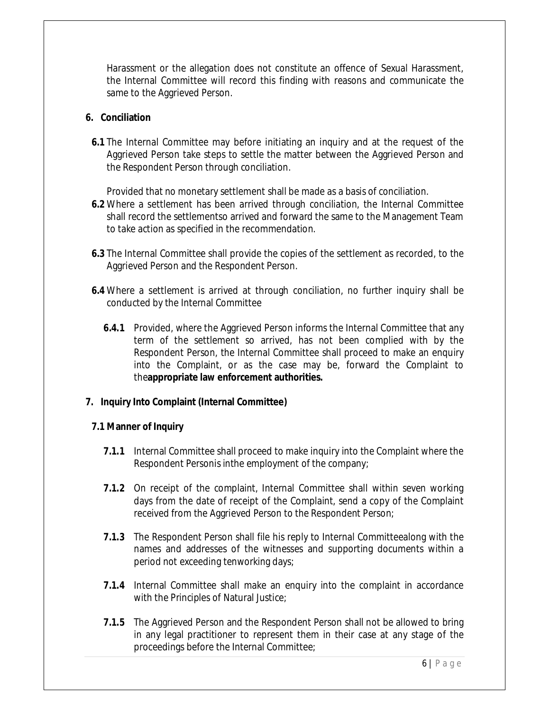Harassment or the allegation does not constitute an offence of Sexual Harassment, the Internal Committee will record this finding with reasons and communicate the same to the Aggrieved Person.

## **6. Conciliation**

**6.1** The Internal Committee may before initiating an inquiry and at the request of the Aggrieved Person take steps to settle the matter between the Aggrieved Person and the Respondent Person through conciliation.

Provided that no monetary settlement shall be made as a basis of conciliation.

- **6.2** Where a settlement has been arrived through conciliation, the Internal Committee shall record the settlementso arrived and forward the same to the Management Team to take action as specified in the recommendation.
- **6.3** The Internal Committee shall provide the copies of the settlement as recorded, to the Aggrieved Person and the Respondent Person.
- **6.4** Where a settlement is arrived at through conciliation, no further inquiry shall be conducted by the Internal Committee
	- **6.4.1** Provided, where the Aggrieved Person informs the Internal Committee that any term of the settlement so arrived, has not been complied with by the Respondent Person, the Internal Committee shall proceed to make an enquiry into the Complaint, or as the case may be, forward the Complaint to the**appropriate law enforcement authorities.**

# **7. Inquiry Into Complaint (Internal Committee)**

#### **7.1 Manner of Inquiry**

- **7.1.1** Internal Committee shall proceed to make inquiry into the Complaint where the Respondent Personis inthe employment of the company;
- **7.1.2** On receipt of the complaint, Internal Committee shall within seven working days from the date of receipt of the Complaint, send a copy of the Complaint received from the Aggrieved Person to the Respondent Person;
- **7.1.3** The Respondent Person shall file his reply to Internal Committeealong with the names and addresses of the witnesses and supporting documents within a period not exceeding tenworking days;
- **7.1.4** Internal Committee shall make an enquiry into the complaint in accordance with the Principles of Natural Justice;
- **7.1.5** The Aggrieved Person and the Respondent Person shall not be allowed to bring in any legal practitioner to represent them in their case at any stage of the proceedings before the Internal Committee;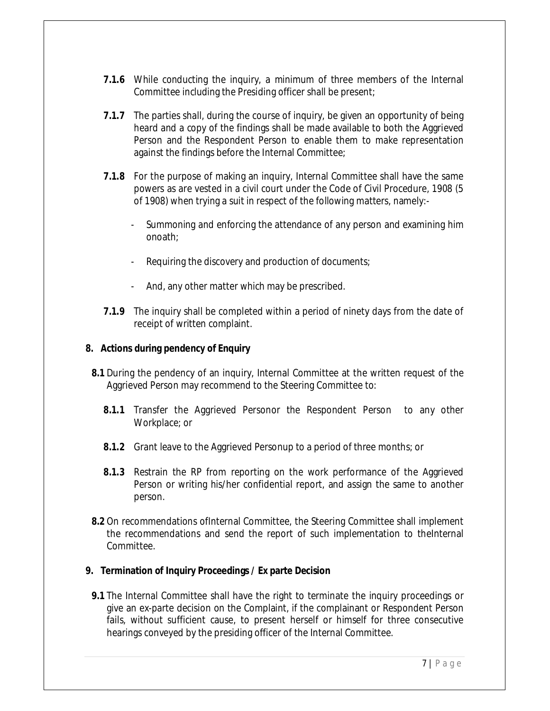- **7.1.6** While conducting the inquiry, a minimum of three members of the Internal Committee including the Presiding officer shall be present;
- **7.1.7** The parties shall, during the course of inquiry, be given an opportunity of being heard and a copy of the findings shall be made available to both the Aggrieved Person and the Respondent Person to enable them to make representation against the findings before the Internal Committee;
- **7.1.8** For the purpose of making an inquiry, Internal Committee shall have the same powers as are vested in a civil court under the Code of Civil Procedure, 1908 (5 of 1908) when trying a suit in respect of the following matters, namely:-
	- Summoning and enforcing the attendance of any person and examining him onoath;
	- Requiring the discovery and production of documents;
	- And, any other matter which may be prescribed.
- **7.1.9** The inquiry shall be completed within a period of ninety days from the date of receipt of written complaint.

## **8. Actions during pendency of Enquiry**

- **8.1** During the pendency of an inquiry, Internal Committee at the written request of the Aggrieved Person may recommend to the Steering Committee to:
	- **8.1.1** Transfer the Aggrieved Personor the Respondent Person to any other Workplace; or
	- **8.1.2** Grant leave to the Aggrieved Personup to a period of three months; or
	- **8.1.3** Restrain the RP from reporting on the work performance of the Aggrieved Person or writing his/her confidential report, and assign the same to another person.
- **8.2** On recommendations ofInternal Committee, the Steering Committee shall implement the recommendations and send the report of such implementation to the Internal Committee.

# **9. Termination of Inquiry Proceedings / Ex parte Decision**

**9.1** The Internal Committee shall have the right to terminate the inquiry proceedings or give an ex-parte decision on the Complaint, if the complainant or Respondent Person fails, without sufficient cause, to present herself or himself for three consecutive hearings conveyed by the presiding officer of the Internal Committee.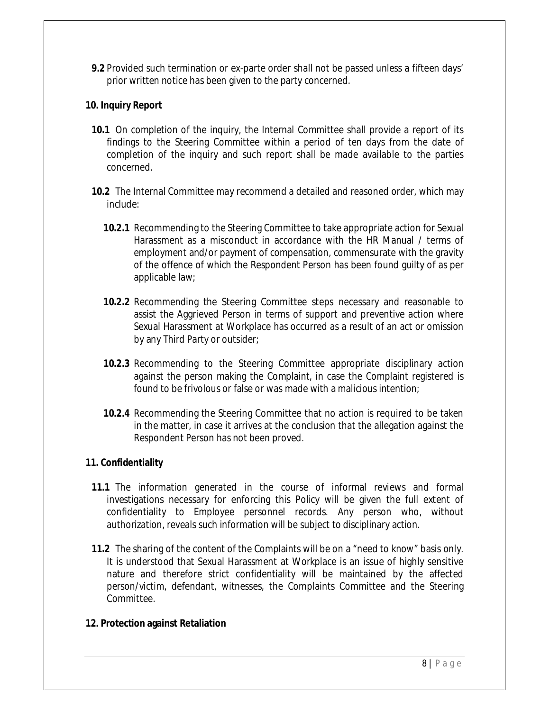**9.2** Provided such termination or ex-parte order shall not be passed unless a fifteen days' prior written notice has been given to the party concerned.

# **10. Inquiry Report**

- **10.1** On completion of the inquiry, the Internal Committee shall provide a report of its findings to the Steering Committee within a period of ten days from the date of completion of the inquiry and such report shall be made available to the parties concerned.
- **10.2** The Internal Committee may recommend a detailed and reasoned order, which may include:
	- **10.2.1** Recommending to the Steering Committee to take appropriate action for Sexual Harassment as a misconduct in accordance with the HR Manual / terms of employment and/or payment of compensation, commensurate with the gravity of the offence of which the Respondent Person has been found guilty of as per applicable law;
	- **10.2.2** Recommending the Steering Committee steps necessary and reasonable to assist the Aggrieved Person in terms of support and preventive action where Sexual Harassment at Workplace has occurred as a result of an act or omission by any Third Party or outsider;
	- **10.2.3** Recommending to the Steering Committee appropriate disciplinary action against the person making the Complaint, in case the Complaint registered is found to be frivolous or false or was made with a malicious intention;
	- **10.2.4** Recommending the Steering Committee that no action is required to be taken in the matter, in case it arrives at the conclusion that the allegation against the Respondent Person has not been proved.

# **11. Confidentiality**

- **11.1** The information generated in the course of informal reviews and formal investigations necessary for enforcing this Policy will be given the full extent of confidentiality to Employee personnel records. Any person who, without authorization, reveals such information will be subject to disciplinary action.
- **11.2** The sharing of the content of the Complaints will be on a "need to know" basis only. It is understood that Sexual Harassment at Workplace is an issue of highly sensitive nature and therefore strict confidentiality will be maintained by the affected person/victim, defendant, witnesses, the Complaints Committee and the Steering Committee.

# **12. Protection against Retaliation**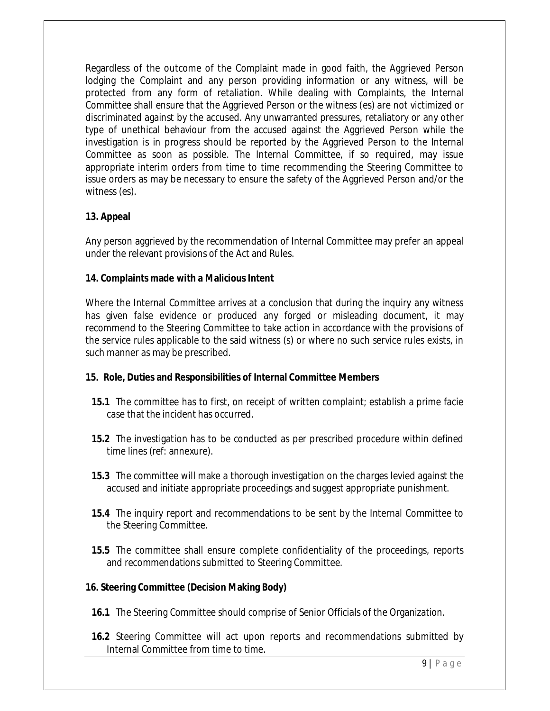Regardless of the outcome of the Complaint made in good faith, the Aggrieved Person lodging the Complaint and any person providing information or any witness, will be protected from any form of retaliation. While dealing with Complaints, the Internal Committee shall ensure that the Aggrieved Person or the witness (es) are not victimized or discriminated against by the accused. Any unwarranted pressures, retaliatory or any other type of unethical behaviour from the accused against the Aggrieved Person while the investigation is in progress should be reported by the Aggrieved Person to the Internal Committee as soon as possible. The Internal Committee, if so required, may issue appropriate interim orders from time to time recommending the Steering Committee to issue orders as may be necessary to ensure the safety of the Aggrieved Person and/or the witness (es).

# **13. Appeal**

Any person aggrieved by the recommendation of Internal Committee may prefer an appeal under the relevant provisions of the Act and Rules.

## **14. Complaints made with a Malicious Intent**

Where the Internal Committee arrives at a conclusion that during the inquiry any witness has given false evidence or produced any forged or misleading document, it may recommend to the Steering Committee to take action in accordance with the provisions of the service rules applicable to the said witness (s) or where no such service rules exists, in such manner as may be prescribed.

#### **15. Role, Duties and Responsibilities of Internal Committee Members**

- **15.1** The committee has to first, on receipt of written complaint; establish a prime facie case that the incident has occurred.
- **15.2** The investigation has to be conducted as per prescribed procedure within defined time lines (ref: annexure).
- **15.3** The committee will make a thorough investigation on the charges levied against the accused and initiate appropriate proceedings and suggest appropriate punishment.
- **15.4** The inquiry report and recommendations to be sent by the Internal Committee to the Steering Committee.
- **15.5** The committee shall ensure complete confidentiality of the proceedings, reports and recommendations submitted to Steering Committee.

# **16. Steering Committee (Decision Making Body)**

- **16.1** The Steering Committee should comprise of Senior Officials of the Organization.
- **16.2** Steering Committee will act upon reports and recommendations submitted by Internal Committee from time to time.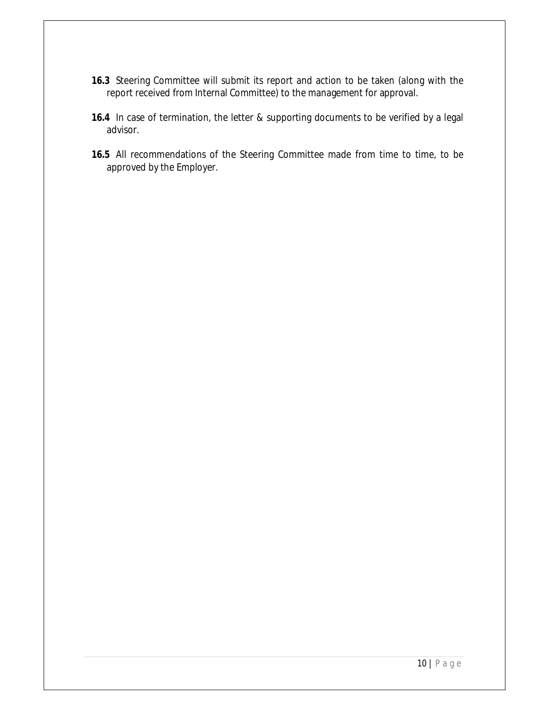- **16.3** Steering Committee will submit its report and action to be taken (along with the report received from Internal Committee) to the management for approval.
- **16.4** In case of termination, the letter & supporting documents to be verified by a legal advisor.
- **16.5** All recommendations of the Steering Committee made from time to time, to be approved by the Employer.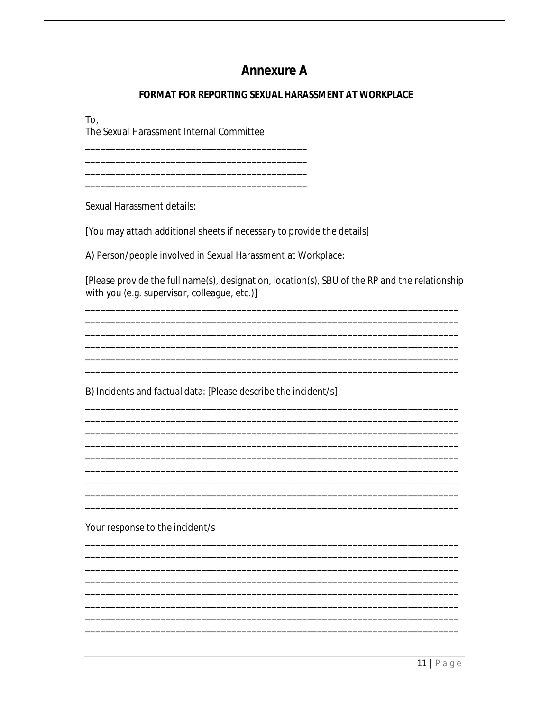# **Annexure A**

# **FORMAT FOR REPORTING SEXUAL HARASSMENT AT WORKPLACE**

To.

The Sexual Harassment Internal Committee

Sexual Harassment details:

[You may attach additional sheets if necessary to provide the details]

A) Person/people involved in Sexual Harassment at Workplace:

[Please provide the full name(s), designation, location(s), SBU of the RP and the relationship with you (e.g. supervisor, colleague, etc.)]

B) Incidents and factual data: [Please describe the incident/s]

Your response to the incident/s

 $11$ | Page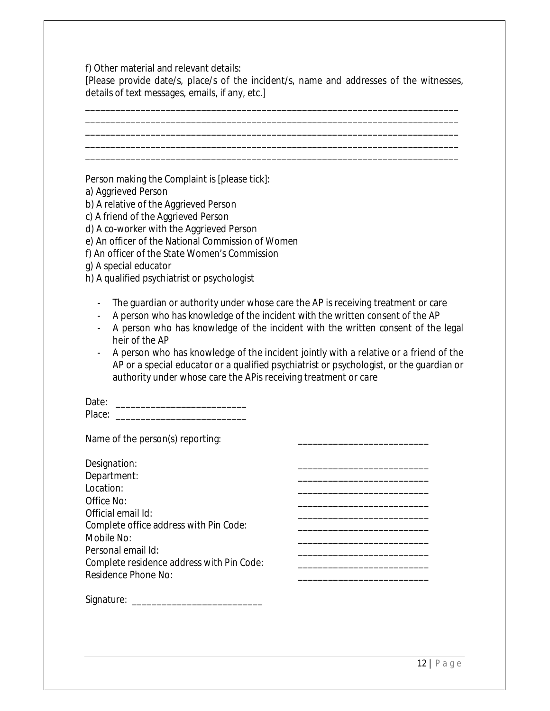f) Other material and relevant details:

[Please provide date/s, place/s of the incident/s, name and addresses of the witnesses, details of text messages, emails, if any, etc.]

\_\_\_\_\_\_\_\_\_\_\_\_\_\_\_\_\_\_\_\_\_\_\_\_\_\_\_\_\_\_\_\_\_\_\_\_\_\_\_\_\_\_\_\_\_\_\_\_\_\_\_\_\_\_\_\_\_\_\_\_\_\_\_\_\_\_\_\_\_\_\_\_\_\_ \_\_\_\_\_\_\_\_\_\_\_\_\_\_\_\_\_\_\_\_\_\_\_\_\_\_\_\_\_\_\_\_\_\_\_\_\_\_\_\_\_\_\_\_\_\_\_\_\_\_\_\_\_\_\_\_\_\_\_\_\_\_\_\_\_\_\_\_\_\_\_\_\_\_ \_\_\_\_\_\_\_\_\_\_\_\_\_\_\_\_\_\_\_\_\_\_\_\_\_\_\_\_\_\_\_\_\_\_\_\_\_\_\_\_\_\_\_\_\_\_\_\_\_\_\_\_\_\_\_\_\_\_\_\_\_\_\_\_\_\_\_\_\_\_\_\_\_\_ \_\_\_\_\_\_\_\_\_\_\_\_\_\_\_\_\_\_\_\_\_\_\_\_\_\_\_\_\_\_\_\_\_\_\_\_\_\_\_\_\_\_\_\_\_\_\_\_\_\_\_\_\_\_\_\_\_\_\_\_\_\_\_\_\_\_\_\_\_\_\_\_\_\_ \_\_\_\_\_\_\_\_\_\_\_\_\_\_\_\_\_\_\_\_\_\_\_\_\_\_\_\_\_\_\_\_\_\_\_\_\_\_\_\_\_\_\_\_\_\_\_\_\_\_\_\_\_\_\_\_\_\_\_\_\_\_\_\_\_\_\_\_\_\_\_\_\_\_

Person making the Complaint is [please tick]:

- a) Aggrieved Person
- b) A relative of the Aggrieved Person
- c) A friend of the Aggrieved Person
- d) A co-worker with the Aggrieved Person
- e) An officer of the National Commission of Women
- f) An officer of the State Women's Commission
- g) A special educator
- h) A qualified psychiatrist or psychologist
	- The guardian or authority under whose care the AP is receiving treatment or care
	- A person who has knowledge of the incident with the written consent of the AP
	- A person who has knowledge of the incident with the written consent of the legal heir of the AP
	- A person who has knowledge of the incident jointly with a relative or a friend of the AP or a special educator or a qualified psychiatrist or psychologist, or the guardian or authority under whose care the APis receiving treatment or care

| Date:  |  |
|--------|--|
| Place: |  |

Name of the person(s) reporting:

| Designation:                              |  |
|-------------------------------------------|--|
| Department:                               |  |
| Location:                                 |  |
| Office No:                                |  |
| Official email Id:                        |  |
| Complete office address with Pin Code:    |  |
| Mobile No:                                |  |
| Personal email Id:                        |  |
| Complete residence address with Pin Code: |  |
| <b>Residence Phone No:</b>                |  |
|                                           |  |

Signature: \_\_\_\_\_\_\_\_\_\_\_\_\_\_\_\_\_\_\_\_\_\_\_\_\_\_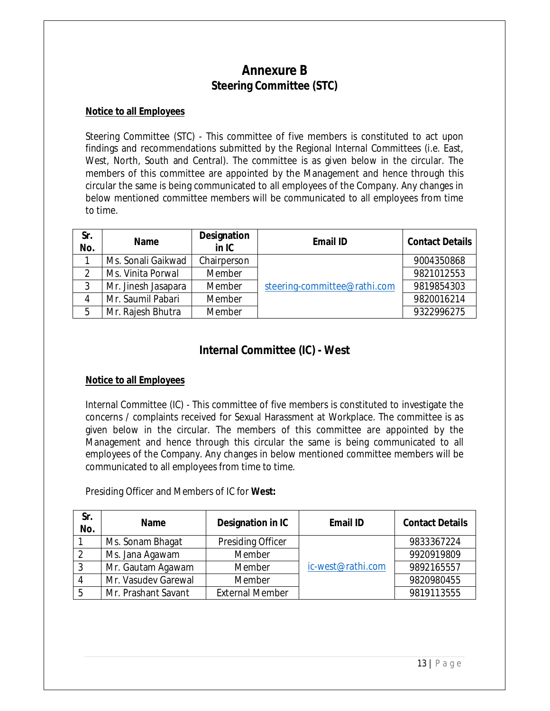# **Annexure B Steering Committee (STC)**

# **Notice to all Employees**

Steering Committee (STC) - This committee of five members is constituted to act upon findings and recommendations submitted by the Regional Internal Committees (i.e. East, West, North, South and Central). The committee is as given below in the circular. The members of this committee are appointed by the Management and hence through this circular the same is being communicated to all employees of the Company. Any changes in below mentioned committee members will be communicated to all employees from time to time.

| Sr.<br>No. | <b>Name</b>         | <b>Designation</b><br>$in$ IC | <b>Email ID</b>              | <b>Contact Details</b> |
|------------|---------------------|-------------------------------|------------------------------|------------------------|
|            | Ms. Sonali Gaikwad  | Chairperson                   |                              | 9004350868             |
|            | Ms. Vinita Porwal   | Member                        |                              | 9821012553             |
|            | Mr. Jinesh Jasapara | Member                        | steering-committee@rathi.com | 9819854303             |
| 4          | Mr. Saumil Pabari   | Member                        |                              | 9820016214             |
| 5          | Mr. Rajesh Bhutra   | Member                        |                              | 9322996275             |

# **Internal Committee (IC) - West**

# **Notice to all Employees**

Internal Committee (IC) - This committee of five members is constituted to investigate the concerns / complaints received for Sexual Harassment at Workplace. The committee is as given below in the circular. The members of this committee are appointed by the Management and hence through this circular the same is being communicated to all employees of the Company. Any changes in below mentioned committee members will be communicated to all employees from time to time.

Presiding Officer and Members of IC for **West:**

| Sr.<br>No. | <b>Name</b>         | Designation in IC        | <b>Email ID</b>   | <b>Contact Details</b> |
|------------|---------------------|--------------------------|-------------------|------------------------|
|            | Ms. Sonam Bhagat    | <b>Presiding Officer</b> |                   | 9833367224             |
|            | Ms. Jana Agawam     | Member                   |                   | 9920919809             |
|            | Mr. Gautam Agawam   | Member                   | ic-west@rathi.com | 9892165557             |
|            | Mr. Vasudev Garewal | Member                   |                   | 9820980455             |
|            | Mr. Prashant Savant | <b>External Member</b>   |                   | 9819113555             |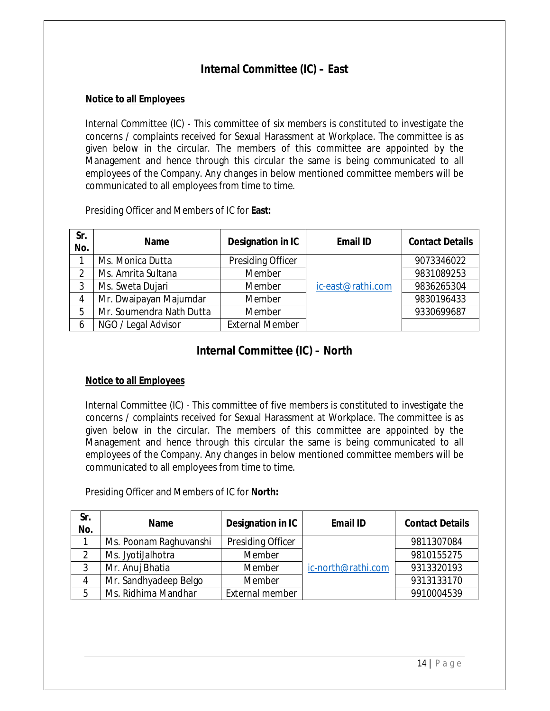# **Internal Committee (IC) – East**

## **Notice to all Employees**

Internal Committee (IC) - This committee of six members is constituted to investigate the concerns / complaints received for Sexual Harassment at Workplace. The committee is as given below in the circular. The members of this committee are appointed by the Management and hence through this circular the same is being communicated to all employees of the Company. Any changes in below mentioned committee members will be communicated to all employees from time to time.

Presiding Officer and Members of IC for **East:**

| Sr.<br>No. | <b>Name</b>              | Designation in IC      | <b>Email ID</b>   | <b>Contact Details</b> |
|------------|--------------------------|------------------------|-------------------|------------------------|
|            | Ms. Monica Dutta         | Presiding Officer      |                   | 9073346022             |
| າ          | Ms. Amrita Sultana       | Member                 |                   | 9831089253             |
| 3          | Ms. Sweta Dujari         | Member                 | ic-east@rathi.com | 9836265304             |
| 4          | Mr. Dwaipayan Majumdar   | Member                 |                   | 9830196433             |
| 5          | Mr. Soumendra Nath Dutta | Member                 |                   | 9330699687             |
| 6          | NGO / Legal Advisor      | <b>External Member</b> |                   |                        |

# **Internal Committee (IC) – North**

# **Notice to all Employees**

Internal Committee (IC) - This committee of five members is constituted to investigate the concerns / complaints received for Sexual Harassment at Workplace. The committee is as given below in the circular. The members of this committee are appointed by the Management and hence through this circular the same is being communicated to all employees of the Company. Any changes in below mentioned committee members will be communicated to all employees from time to time.

Presiding Officer and Members of IC for **North:**

| Sr.<br>No. | <b>Name</b>            | Designation in IC | <b>Email ID</b>    | <b>Contact Details</b> |
|------------|------------------------|-------------------|--------------------|------------------------|
|            | Ms. Poonam Raghuvanshi | Presiding Officer |                    | 9811307084             |
|            | Ms. JyotiJalhotra      | Member            |                    | 9810155275             |
|            | Mr. Anuj Bhatia        | Member            | ic-north@rathi.com | 9313320193             |
| $\Lambda$  | Mr. Sandhyadeep Belgo  | Member            |                    | 9313133170             |
| 5          | Ms. Ridhima Mandhar    | External member   |                    | 9910004539             |